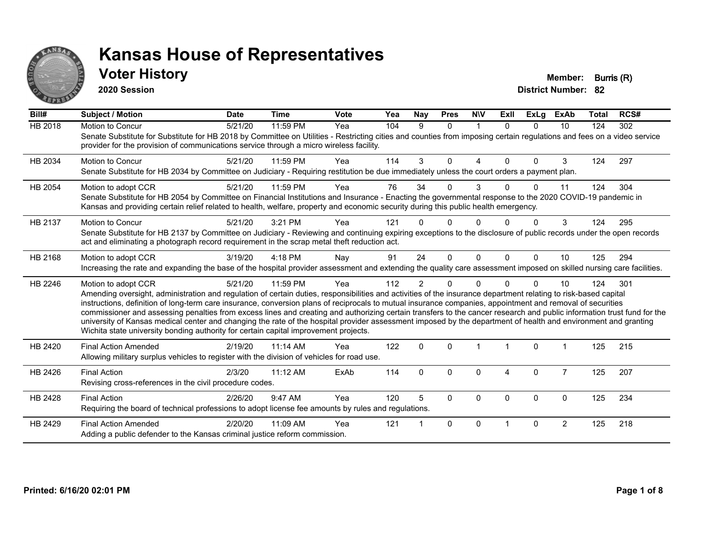

#### **Voter History Member: Burris (R)**

**2020 Session**

| Bill#          | <b>Subject / Motion</b>                                                                                                                                                                                                                                                                                                                                                                                                                                                                                                                                                                                                                                                                                                                                                                  | <b>Date</b> | <b>Time</b> | Vote | Yea | Nay            | <b>Pres</b> | <b>NIV</b> | Exll     | <b>ExLg</b> | <b>ExAb</b>    | <b>Total</b> | RCS# |
|----------------|------------------------------------------------------------------------------------------------------------------------------------------------------------------------------------------------------------------------------------------------------------------------------------------------------------------------------------------------------------------------------------------------------------------------------------------------------------------------------------------------------------------------------------------------------------------------------------------------------------------------------------------------------------------------------------------------------------------------------------------------------------------------------------------|-------------|-------------|------|-----|----------------|-------------|------------|----------|-------------|----------------|--------------|------|
| <b>HB 2018</b> | Motion to Concur<br>Senate Substitute for Substitute for HB 2018 by Committee on Utilities - Restricting cities and counties from imposing certain regulations and fees on a video service<br>provider for the provision of communications service through a micro wireless facility.                                                                                                                                                                                                                                                                                                                                                                                                                                                                                                    | 5/21/20     | 11:59 PM    | Yea  | 104 | 9              | $\Omega$    | 1          | $\Omega$ | $\Omega$    | 10             | 124          | 302  |
| HB 2034        | <b>Motion to Concur</b><br>Senate Substitute for HB 2034 by Committee on Judiciary - Requiring restitution be due immediately unless the court orders a payment plan.                                                                                                                                                                                                                                                                                                                                                                                                                                                                                                                                                                                                                    | 5/21/20     | 11:59 PM    | Yea  | 114 | 3              | 0           | 4          | $\Omega$ | $\Omega$    | 3              | 124          | 297  |
| HB 2054        | Motion to adopt CCR<br>Senate Substitute for HB 2054 by Committee on Financial Institutions and Insurance - Enacting the governmental response to the 2020 COVID-19 pandemic in<br>Kansas and providing certain relief related to health, welfare, property and economic security during this public health emergency.                                                                                                                                                                                                                                                                                                                                                                                                                                                                   | 5/21/20     | 11:59 PM    | Yea  | 76  | 34             | 0           | 3          |          | $\Omega$    | 11             | 124          | 304  |
| HB 2137        | <b>Motion to Concur</b><br>Senate Substitute for HB 2137 by Committee on Judiciary - Reviewing and continuing expiring exceptions to the disclosure of public records under the open records<br>act and eliminating a photograph record requirement in the scrap metal theft reduction act.                                                                                                                                                                                                                                                                                                                                                                                                                                                                                              | 5/21/20     | 3:21 PM     | Yea  | 121 |                | U           |            |          | O           | 3              | 124          | 295  |
| HB 2168        | Motion to adopt CCR<br>Increasing the rate and expanding the base of the hospital provider assessment and extending the quality care assessment imposed on skilled nursing care facilities.                                                                                                                                                                                                                                                                                                                                                                                                                                                                                                                                                                                              | 3/19/20     | $4:18$ PM   | Nay  | 91  | 24             | $\Omega$    | $\Omega$   | $\Omega$ | $\Omega$    | 10             | 125          | 294  |
| HB 2246        | Motion to adopt CCR<br>Amending oversight, administration and regulation of certain duties, responsibilities and activities of the insurance department relating to risk-based capital<br>instructions, definition of long-term care insurance, conversion plans of reciprocals to mutual insurance companies, appointment and removal of securities<br>commissioner and assessing penalties from excess lines and creating and authorizing certain transfers to the cancer research and public information trust fund for the<br>university of Kansas medical center and changing the rate of the hospital provider assessment imposed by the department of health and environment and granting<br>Wichita state university bonding authority for certain capital improvement projects. | 5/21/20     | 11:59 PM    | Yea  | 112 | $\overline{2}$ | 0           | 0          |          | $\Omega$    | 10             | 124          | 301  |
| HB 2420        | <b>Final Action Amended</b><br>Allowing military surplus vehicles to register with the division of vehicles for road use.                                                                                                                                                                                                                                                                                                                                                                                                                                                                                                                                                                                                                                                                | 2/19/20     | 11:14 AM    | Yea  | 122 | $\mathbf 0$    | $\Omega$    |            |          | $\mathbf 0$ |                | 125          | 215  |
| HB 2426        | <b>Final Action</b><br>Revising cross-references in the civil procedure codes.                                                                                                                                                                                                                                                                                                                                                                                                                                                                                                                                                                                                                                                                                                           | 2/3/20      | 11:12 AM    | ExAb | 114 | $\Omega$       | $\Omega$    | $\Omega$   | 4        | $\mathbf 0$ | $\overline{7}$ | 125          | 207  |
| HB 2428        | <b>Final Action</b><br>Requiring the board of technical professions to adopt license fee amounts by rules and regulations.                                                                                                                                                                                                                                                                                                                                                                                                                                                                                                                                                                                                                                                               | 2/26/20     | 9:47 AM     | Yea  | 120 | 5              | $\Omega$    | $\Omega$   | $\Omega$ | $\Omega$    | $\mathbf{0}$   | 125          | 234  |
| HB 2429        | <b>Final Action Amended</b><br>Adding a public defender to the Kansas criminal justice reform commission.                                                                                                                                                                                                                                                                                                                                                                                                                                                                                                                                                                                                                                                                                | 2/20/20     | 11:09 AM    | Yea  | 121 |                | $\Omega$    | $\Omega$   |          | $\Omega$    | $\overline{2}$ | 125          | 218  |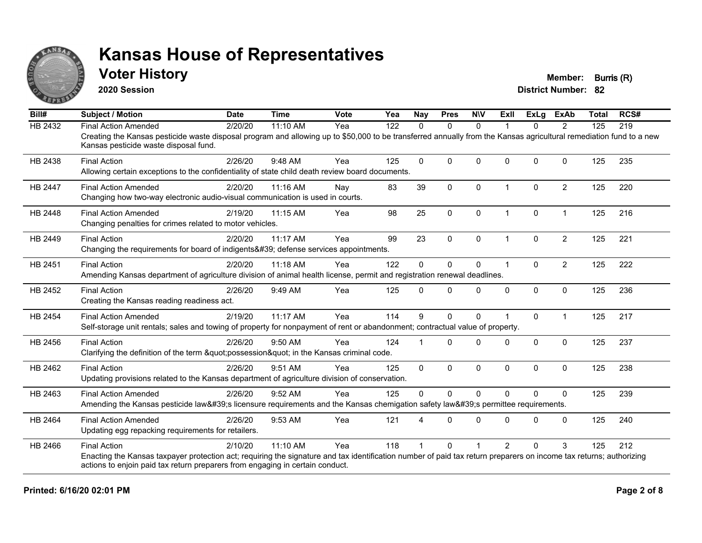

#### **Voter History Member: Burris (R)**

**2020 Session**

| Bill#          | <b>Subject / Motion</b>                                                                                                                                                                                     | <b>Date</b> | <b>Time</b> | Vote | Yea | <b>Nay</b>  | <b>Pres</b>  | <b>NIV</b>   | ExII                    | ExLa     | <b>ExAb</b>    | <b>Total</b>                    | RCS# |
|----------------|-------------------------------------------------------------------------------------------------------------------------------------------------------------------------------------------------------------|-------------|-------------|------|-----|-------------|--------------|--------------|-------------------------|----------|----------------|---------------------------------|------|
| HB 2432        | <b>Final Action Amended</b>                                                                                                                                                                                 | 2/20/20     | 11:10 AM    | Yea  | 122 | $\Omega$    | $\mathbf{0}$ | $\mathbf{0}$ |                         | $\Omega$ | $\overline{2}$ | 125                             | 219  |
|                | Creating the Kansas pesticide waste disposal program and allowing up to \$50,000 to be transferred annually from the Kansas agricultural remediation fund to a new<br>Kansas pesticide waste disposal fund. |             |             |      |     |             |              |              |                         |          |                |                                 |      |
| HB 2438        | <b>Final Action</b>                                                                                                                                                                                         | 2/26/20     | 9:48 AM     | Yea  | 125 | $\mathbf 0$ | $\Omega$     | $\mathbf{0}$ | $\Omega$                | $\Omega$ | $\Omega$       | 125                             | 235  |
|                | Allowing certain exceptions to the confidentiality of state child death review board documents.                                                                                                             |             |             |      |     |             |              |              |                         |          |                |                                 |      |
| <b>HB 2447</b> | <b>Final Action Amended</b>                                                                                                                                                                                 | 2/20/20     | 11:16 AM    | Nay  | 83  | 39          | $\mathbf{0}$ | $\Omega$     | $\overline{\mathbf{1}}$ | $\Omega$ | $\overline{2}$ | 125                             | 220  |
|                | Changing how two-way electronic audio-visual communication is used in courts.                                                                                                                               |             |             |      |     |             |              |              |                         |          |                |                                 |      |
| <b>HB 2448</b> | <b>Final Action Amended</b>                                                                                                                                                                                 | 2/19/20     | 11:15 AM    | Yea  | 98  | 25          | $\mathbf 0$  | 0            | $\overline{1}$          | 0        | $\overline{1}$ | 125                             | 216  |
|                | Changing penalties for crimes related to motor vehicles.                                                                                                                                                    |             |             |      |     |             |              |              |                         |          |                |                                 |      |
| HB 2449        | <b>Final Action</b>                                                                                                                                                                                         | 2/20/20     | 11:17 AM    | Yea  | 99  | 23          | $\mathbf 0$  | 0            | -1                      | $\Omega$ | $\overline{2}$ | 125                             | 221  |
|                | Changing the requirements for board of indigents' defense services appointments.                                                                                                                            |             |             |      |     |             |              |              |                         |          |                |                                 |      |
| HB 2451        | <b>Final Action</b>                                                                                                                                                                                         | 2/20/20     | 11:18 AM    | Yea  | 122 | $\Omega$    | $\Omega$     | $\mathbf{0}$ | -1                      | $\Omega$ | $\overline{2}$ | 125                             | 222  |
|                | Amending Kansas department of agriculture division of animal health license, permit and registration renewal deadlines.                                                                                     |             |             |      |     |             |              |              |                         |          |                |                                 |      |
| HB 2452        | <b>Final Action</b>                                                                                                                                                                                         | 2/26/20     | 9:49 AM     | Yea  | 125 | $\Omega$    | $\Omega$     | $\mathbf 0$  | 0                       | 0        | $\mathbf 0$    | 125                             | 236  |
|                | Creating the Kansas reading readiness act.                                                                                                                                                                  |             |             |      |     |             |              |              |                         |          |                |                                 |      |
| <b>HB 2454</b> | <b>Final Action Amended</b>                                                                                                                                                                                 | 2/19/20     | 11:17 AM    | Yea  | 114 | 9           | $\Omega$     | $\Omega$     |                         | $\Omega$ | $\overline{1}$ | 125                             | 217  |
|                | Self-storage unit rentals; sales and towing of property for nonpayment of rent or abandonment; contractual value of property.                                                                               |             |             |      |     |             |              |              |                         |          |                | 125<br>125<br>125<br>125<br>125 |      |
| HB 2456        | <b>Final Action</b>                                                                                                                                                                                         | 2/26/20     | $9:50$ AM   | Yea  | 124 |             | $\Omega$     | $\Omega$     | <sup>0</sup>            | $\Omega$ | $\mathbf{0}$   |                                 | 237  |
|                | Clarifying the definition of the term "possession" in the Kansas criminal code.                                                                                                                             |             |             |      |     |             |              |              |                         |          |                |                                 |      |
| HB 2462        | <b>Final Action</b>                                                                                                                                                                                         | 2/26/20     | 9:51 AM     | Yea  | 125 | 0           | 0            | 0            | $\Omega$                | 0        | $\mathbf 0$    |                                 | 238  |
|                | Updating provisions related to the Kansas department of agriculture division of conservation.                                                                                                               |             |             |      |     |             |              |              |                         |          |                |                                 |      |
| HB 2463        | <b>Final Action Amended</b>                                                                                                                                                                                 | 2/26/20     | 9:52 AM     | Yea  | 125 | $\Omega$    | $\Omega$     | $\Omega$     | $\Omega$                | $\Omega$ | $\Omega$       |                                 | 239  |
|                | Amending the Kansas pesticide law's licensure requirements and the Kansas chemigation safety law's permittee requirements.                                                                                  |             |             |      |     |             |              |              |                         |          |                |                                 |      |
| HB 2464        | <b>Final Action Amended</b>                                                                                                                                                                                 | 2/26/20     | 9:53 AM     | Yea  | 121 | 4           | $\Omega$     | $\mathbf{0}$ | $\Omega$                | $\Omega$ | $\Omega$       |                                 | 240  |
|                | Updating egg repacking requirements for retailers.                                                                                                                                                          |             |             |      |     |             |              |              |                         |          |                |                                 |      |
| HB 2466        | <b>Final Action</b>                                                                                                                                                                                         | 2/10/20     | 11:10 AM    | Yea  | 118 |             | $\Omega$     |              | $\mathfrak{p}$          | $\Omega$ | 3              |                                 | 212  |
|                | Enacting the Kansas taxpayer protection act; requiring the signature and tax identification number of paid tax return preparers on income tax returns; authorizing                                          |             |             |      |     |             |              |              |                         |          |                |                                 |      |
|                | actions to enjoin paid tax return preparers from engaging in certain conduct.                                                                                                                               |             |             |      |     |             |              |              |                         |          |                |                                 |      |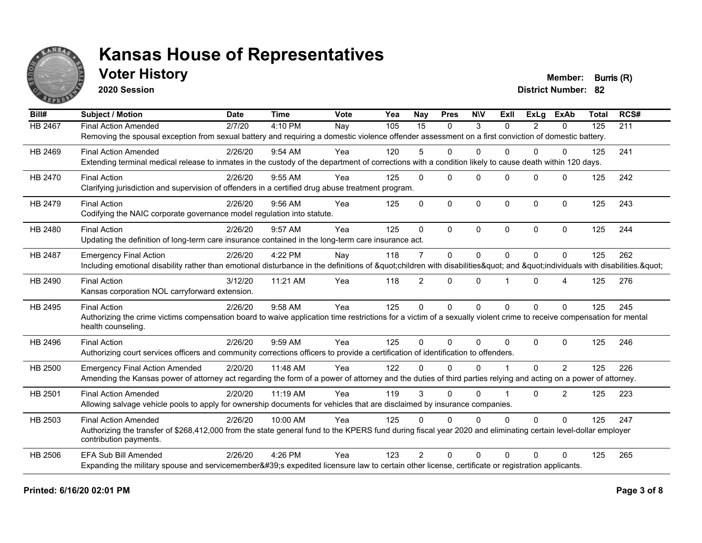

### **Voter History Member: Burris (R)**

**2020 Session**

| Bill#   | <b>Subject / Motion</b>                                                                                                                                             | <b>Date</b> | <b>Time</b> | Vote | Yea | Nay            | <b>Pres</b>  | <b>NIV</b>   | ExII           | ExLa           | <b>ExAb</b>    | <b>Total</b> | RCS# |
|---------|---------------------------------------------------------------------------------------------------------------------------------------------------------------------|-------------|-------------|------|-----|----------------|--------------|--------------|----------------|----------------|----------------|--------------|------|
| HB 2467 | <b>Final Action Amended</b>                                                                                                                                         | 2/7/20      | 4:10 PM     | Nay  | 105 | 15             | $\mathbf{0}$ | 3            | $\Omega$       | $\overline{2}$ | 0              | 125          | 211  |
|         | Removing the spousal exception from sexual battery and requiring a domestic violence offender assessment on a first conviction of domestic battery.                 |             |             |      |     |                |              |              |                |                |                |              |      |
| HB 2469 | <b>Final Action Amended</b>                                                                                                                                         | 2/26/20     | $9:54$ AM   | Yea  | 120 | 5              | $\Omega$     | $\mathbf{0}$ | 0              | 0              | 0              | 125          | 241  |
|         | Extending terminal medical release to inmates in the custody of the department of corrections with a condition likely to cause death within 120 days.               |             |             |      |     |                |              |              |                |                |                |              |      |
| HB 2470 | <b>Final Action</b>                                                                                                                                                 | 2/26/20     | 9:55 AM     | Yea  | 125 | $\Omega$       | $\Omega$     | $\Omega$     | $\Omega$       | $\Omega$       | $\Omega$       | 125          | 242  |
|         | Clarifying jurisdiction and supervision of offenders in a certified drug abuse treatment program.                                                                   |             |             |      |     |                |              |              |                |                |                |              |      |
| HB 2479 | <b>Final Action</b>                                                                                                                                                 | 2/26/20     | $9:56$ AM   | Yea  | 125 | $\Omega$       | $\Omega$     | $\mathbf 0$  | $\Omega$       | $\Omega$       | $\mathbf{0}$   | 125          | 243  |
|         | Codifying the NAIC corporate governance model regulation into statute.                                                                                              |             |             |      |     |                |              |              |                |                |                |              |      |
| HB 2480 | <b>Final Action</b>                                                                                                                                                 | 2/26/20     | 9:57 AM     | Yea  | 125 | $\Omega$       | $\Omega$     | $\Omega$     | $\Omega$       | $\Omega$       | $\Omega$       | 125          | 244  |
|         | Updating the definition of long-term care insurance contained in the long-term care insurance act.                                                                  |             |             |      |     |                |              |              |                |                |                |              |      |
| HB 2487 | <b>Emergency Final Action</b>                                                                                                                                       | 2/26/20     | 4:22 PM     | Nay  | 118 | $\overline{7}$ | 0            | $\mathbf{0}$ | $\Omega$       | $\Omega$       | $\Omega$       | 125          | 262  |
|         | Including emotional disability rather than emotional disturbance in the definitions of "children with disabilities" and "individuals with disabilities. "           |             |             |      |     |                |              |              |                |                |                |              |      |
| HB 2490 | <b>Final Action</b>                                                                                                                                                 | 3/12/20     | 11:21 AM    | Yea  | 118 | $\overline{2}$ | $\mathbf{0}$ | $\Omega$     |                | $\Omega$       | 4              | 125          | 276  |
|         | Kansas corporation NOL carryforward extension.                                                                                                                      |             |             |      |     |                |              |              |                |                |                |              |      |
| HB 2495 | <b>Final Action</b>                                                                                                                                                 | 2/26/20     | 9:58 AM     | Yea  | 125 | $\Omega$       | $\Omega$     | $\mathbf{0}$ | $\Omega$       | $\Omega$       | $\Omega$       | 125          | 245  |
|         | Authorizing the crime victims compensation board to waive application time restrictions for a victim of a sexually violent crime to receive compensation for mental |             |             |      |     |                |              |              |                |                |                |              |      |
|         | health counseling.                                                                                                                                                  |             |             |      |     |                |              |              |                |                |                |              |      |
| HB 2496 | <b>Final Action</b>                                                                                                                                                 | 2/26/20     | 9:59 AM     | Yea  | 125 | $\Omega$       | $\Omega$     | $\Omega$     | $\Omega$       | $\Omega$       | $\Omega$       | 125          | 246  |
|         | Authorizing court services officers and community corrections officers to provide a certification of identification to offenders.                                   |             |             |      |     |                |              |              |                |                |                |              |      |
| HB 2500 | <b>Emergency Final Action Amended</b>                                                                                                                               | 2/20/20     | 11:48 AM    | Yea  | 122 | U              | $\Omega$     | $\Omega$     |                | $\Omega$       | 2              | 125          | 226  |
|         | Amending the Kansas power of attorney act regarding the form of a power of attorney and the duties of third parties relying and acting on a power of attorney.      |             |             |      |     |                |              |              |                |                |                |              |      |
| HB 2501 | <b>Final Action Amended</b>                                                                                                                                         | 2/20/20     | 11:19 AM    | Yea  | 119 | 3              | $\Omega$     | $\Omega$     | $\overline{1}$ | $\Omega$       | $\overline{2}$ | 125          | 223  |
|         | Allowing salvage vehicle pools to apply for ownership documents for vehicles that are disclaimed by insurance companies.                                            |             |             |      |     |                |              |              |                |                |                |              |      |
| HB 2503 | <b>Final Action Amended</b>                                                                                                                                         | 2/26/20     | 10:00 AM    | Yea  | 125 | $\Omega$       | $\Omega$     | $\Omega$     | $\Omega$       | $\Omega$       | $\Omega$       | 125          | 247  |
|         | Authorizing the transfer of \$268,412,000 from the state general fund to the KPERS fund during fiscal year 2020 and eliminating certain level-dollar employer       |             |             |      |     |                |              |              |                |                |                |              |      |
|         | contribution payments.                                                                                                                                              |             |             |      |     |                |              |              |                |                |                |              |      |
| HB 2506 | <b>EFA Sub Bill Amended</b>                                                                                                                                         | 2/26/20     | 4:26 PM     | Yea  | 123 | $\mathcal{P}$  | $\Omega$     | $\Omega$     | 0              | 0              | $\Omega$       | 125          | 265  |
|         | Expanding the military spouse and servicemember's expedited licensure law to certain other license, certificate or registration applicants.                         |             |             |      |     |                |              |              |                |                |                |              |      |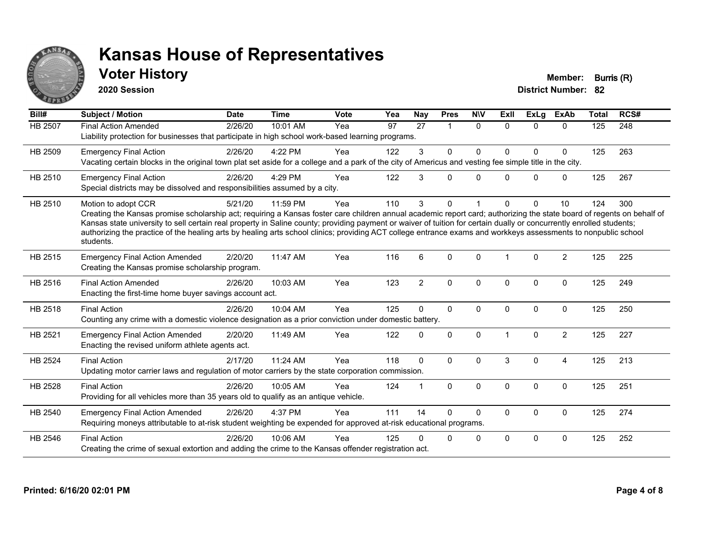

### **Voter History Member: Burris (R)**

**2020 Session**

| Bill#   | <b>Subject / Motion</b>                                                                                                                                                                                                                                                                                                                                                                                                                                                                                                                             | <b>Date</b> | <b>Time</b> | <b>Vote</b> | Yea | <b>Nay</b>     | <b>Pres</b>          | <b>NIV</b>   | <b>Exll</b> | ExLg         | <b>ExAb</b>    | <b>Total</b> | RCS# |
|---------|-----------------------------------------------------------------------------------------------------------------------------------------------------------------------------------------------------------------------------------------------------------------------------------------------------------------------------------------------------------------------------------------------------------------------------------------------------------------------------------------------------------------------------------------------------|-------------|-------------|-------------|-----|----------------|----------------------|--------------|-------------|--------------|----------------|--------------|------|
| HB 2507 | <b>Final Action Amended</b><br>Liability protection for businesses that participate in high school work-based learning programs.                                                                                                                                                                                                                                                                                                                                                                                                                    | 2/26/20     | 10:01 AM    | Yea         | 97  | 27             | $\blacktriangleleft$ | $\Omega$     | $\Omega$    | $\Omega$     | $\Omega$       | 125          | 248  |
| HB 2509 | <b>Emergency Final Action</b><br>Vacating certain blocks in the original town plat set aside for a college and a park of the city of Americus and vesting fee simple title in the city.                                                                                                                                                                                                                                                                                                                                                             | 2/26/20     | 4:22 PM     | Yea         | 122 | 3              | $\mathbf 0$          | $\mathbf 0$  | $\Omega$    | $\Omega$     | $\mathbf 0$    | 125          | 263  |
| HB 2510 | <b>Emergency Final Action</b><br>Special districts may be dissolved and responsibilities assumed by a city.                                                                                                                                                                                                                                                                                                                                                                                                                                         | 2/26/20     | 4:29 PM     | Yea         | 122 | 3              | $\Omega$             | $\Omega$     | $\Omega$    | $\Omega$     | $\mathbf 0$    | 125          | 267  |
| HB 2510 | Motion to adopt CCR<br>Creating the Kansas promise scholarship act; requiring a Kansas foster care children annual academic report card; authorizing the state board of regents on behalf of<br>Kansas state university to sell certain real property in Saline county; providing payment or waiver of tuition for certain dually or concurrently enrolled students;<br>authorizing the practice of the healing arts by healing arts school clinics; providing ACT college entrance exams and workkeys assessments to nonpublic school<br>students. | 5/21/20     | 11:59 PM    | Yea         | 110 | 3              | $\Omega$             |              | 0           | $\Omega$     | 10             | 124          | 300  |
| HB 2515 | <b>Emergency Final Action Amended</b><br>Creating the Kansas promise scholarship program.                                                                                                                                                                                                                                                                                                                                                                                                                                                           | 2/20/20     | 11:47 AM    | Yea         | 116 | 6              | $\Omega$             | $\Omega$     |             | $\Omega$     | $\overline{2}$ | 125          | 225  |
| HB 2516 | <b>Final Action Amended</b><br>Enacting the first-time home buyer savings account act.                                                                                                                                                                                                                                                                                                                                                                                                                                                              | 2/26/20     | 10:03 AM    | Yea         | 123 | $\overline{2}$ | $\mathbf 0$          | $\mathbf 0$  | $\Omega$    | $\Omega$     | $\mathbf 0$    | 125          | 249  |
| HB 2518 | <b>Final Action</b><br>Counting any crime with a domestic violence designation as a prior conviction under domestic battery.                                                                                                                                                                                                                                                                                                                                                                                                                        | 2/26/20     | 10:04 AM    | Yea         | 125 | $\Omega$       | $\mathbf{0}$         | $\Omega$     | $\Omega$    | $\mathbf{0}$ | $\mathbf 0$    | 125          | 250  |
| HB 2521 | <b>Emergency Final Action Amended</b><br>Enacting the revised uniform athlete agents act.                                                                                                                                                                                                                                                                                                                                                                                                                                                           | 2/20/20     | 11:49 AM    | Yea         | 122 | $\Omega$       | $\Omega$             | $\Omega$     |             | $\mathbf{0}$ | $\overline{2}$ | 125          | 227  |
| HB 2524 | <b>Final Action</b><br>Updating motor carrier laws and regulation of motor carriers by the state corporation commission.                                                                                                                                                                                                                                                                                                                                                                                                                            | 2/17/20     | 11:24 AM    | Yea         | 118 | $\mathbf{0}$   | $\Omega$             | $\Omega$     | 3           | $\Omega$     | $\overline{4}$ | 125          | 213  |
| HB 2528 | <b>Final Action</b><br>Providing for all vehicles more than 35 years old to qualify as an antique vehicle.                                                                                                                                                                                                                                                                                                                                                                                                                                          | 2/26/20     | 10:05 AM    | Yea         | 124 |                | $\mathbf{0}$         | $\mathbf{0}$ | $\Omega$    | $\Omega$     | $\Omega$       | 125          | 251  |
| HB 2540 | <b>Emergency Final Action Amended</b><br>Requiring moneys attributable to at-risk student weighting be expended for approved at-risk educational programs.                                                                                                                                                                                                                                                                                                                                                                                          | 2/26/20     | 4:37 PM     | Yea         | 111 | 14             | $\mathbf{0}$         | $\Omega$     | 0           | 0            | $\mathbf 0$    | 125          | 274  |
| HB 2546 | <b>Final Action</b><br>Creating the crime of sexual extortion and adding the crime to the Kansas offender registration act.                                                                                                                                                                                                                                                                                                                                                                                                                         | 2/26/20     | 10:06 AM    | Yea         | 125 |                | 0                    | $\mathbf 0$  | $\Omega$    | $\Omega$     | 0              | 125          | 252  |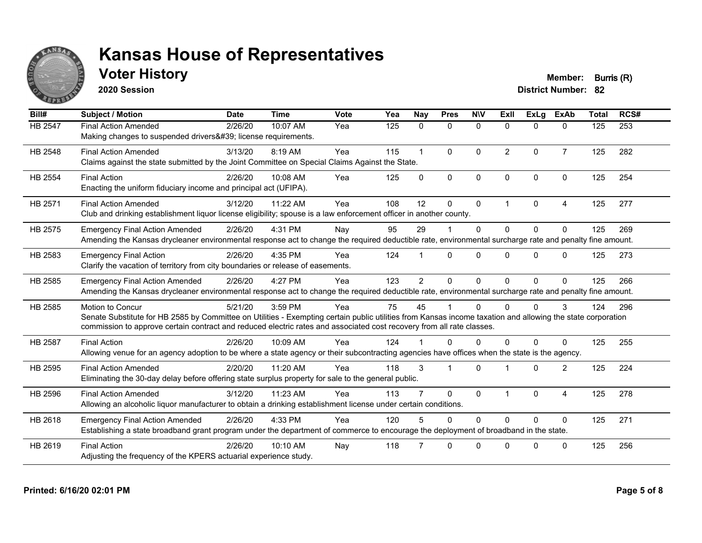

### **Voter History Member: Burris (R)**

**2020 Session**

| Bill#          | <b>Subject / Motion</b>                                                                                                                                                                                                                                                                                         | <b>Date</b> | <b>Time</b> | Vote | Yea | <b>Nay</b>     | <b>Pres</b>  | <b>NIV</b>   | ExII           | ExLg         | <b>ExAb</b>    | <b>Total</b> | RCS# |
|----------------|-----------------------------------------------------------------------------------------------------------------------------------------------------------------------------------------------------------------------------------------------------------------------------------------------------------------|-------------|-------------|------|-----|----------------|--------------|--------------|----------------|--------------|----------------|--------------|------|
| HB 2547        | <b>Final Action Amended</b><br>Making changes to suspended drivers' license requirements.                                                                                                                                                                                                                       | 2/26/20     | 10:07 AM    | Yea  | 125 | $\mathbf{0}$   | $\mathbf{0}$ | $\mathbf{0}$ | $\mathbf{0}$   | $\Omega$     | $\mathbf{0}$   | 125          | 253  |
| HB 2548        | <b>Final Action Amended</b><br>Claims against the state submitted by the Joint Committee on Special Claims Against the State.                                                                                                                                                                                   | 3/13/20     | 8:19 AM     | Yea  | 115 |                | $\mathbf{0}$ | $\Omega$     | $\overline{2}$ | $\Omega$     | $\overline{7}$ | 125          | 282  |
| <b>HB 2554</b> | <b>Final Action</b><br>Enacting the uniform fiduciary income and principal act (UFIPA).                                                                                                                                                                                                                         | 2/26/20     | 10:08 AM    | Yea  | 125 | $\Omega$       | $\Omega$     | $\mathbf{0}$ | $\Omega$       | $\Omega$     | $\mathbf{0}$   | 125          | 254  |
| HB 2571        | <b>Final Action Amended</b><br>Club and drinking establishment liquor license eligibility; spouse is a law enforcement officer in another county.                                                                                                                                                               | 3/12/20     | 11:22 AM    | Yea  | 108 | 12             | $\mathbf{0}$ | $\mathbf{0}$ | 1              | $\mathbf{0}$ | 4              | 125          | 277  |
| HB 2575        | <b>Emergency Final Action Amended</b><br>Amending the Kansas drycleaner environmental response act to change the required deductible rate, environmental surcharge rate and penalty fine amount.                                                                                                                | 2/26/20     | 4:31 PM     | Nay  | 95  | 29             |              | $\Omega$     | $\Omega$       | $\Omega$     | $\Omega$       | 125          | 269  |
| HB 2583        | <b>Emergency Final Action</b><br>Clarify the vacation of territory from city boundaries or release of easements.                                                                                                                                                                                                | 2/26/20     | 4:35 PM     | Yea  | 124 |                | $\Omega$     | $\Omega$     | $\Omega$       | $\Omega$     | $\Omega$       | 125          | 273  |
| HB 2585        | <b>Emergency Final Action Amended</b><br>Amending the Kansas drycleaner environmental response act to change the required deductible rate, environmental surcharge rate and penalty fine amount.                                                                                                                | 2/26/20     | 4:27 PM     | Yea  | 123 | $\overline{2}$ | $\mathbf{0}$ | $\Omega$     | 0              | $\Omega$     | $\Omega$       | 125          | 266  |
| HB 2585        | <b>Motion to Concur</b><br>Senate Substitute for HB 2585 by Committee on Utilities - Exempting certain public utilities from Kansas income taxation and allowing the state corporation<br>commission to approve certain contract and reduced electric rates and associated cost recovery from all rate classes. | 5/21/20     | 3:59 PM     | Yea  | 75  | 45             |              | $\Omega$     | 0              | <sup>0</sup> | 3              | 124          | 296  |
| <b>HB 2587</b> | <b>Final Action</b><br>Allowing venue for an agency adoption to be where a state agency or their subcontracting agencies have offices when the state is the agency.                                                                                                                                             | 2/26/20     | 10:09 AM    | Yea  | 124 |                | $\Omega$     | $\Omega$     | 0              | $\Omega$     | 0              | 125          | 255  |
| HB 2595        | <b>Final Action Amended</b><br>Eliminating the 30-day delay before offering state surplus property for sale to the general public.                                                                                                                                                                              | 2/20/20     | 11:20 AM    | Yea  | 118 | 3              |              | $\Omega$     |                | $\Omega$     | 2              | 125          | 224  |
| HB 2596        | <b>Final Action Amended</b><br>Allowing an alcoholic liquor manufacturer to obtain a drinking establishment license under certain conditions.                                                                                                                                                                   | 3/12/20     | 11:23 AM    | Yea  | 113 |                | $\Omega$     | $\mathbf{0}$ |                | $\Omega$     | 4              | 125          | 278  |
| HB 2618        | <b>Emergency Final Action Amended</b><br>Establishing a state broadband grant program under the department of commerce to encourage the deployment of broadband in the state.                                                                                                                                   | 2/26/20     | 4:33 PM     | Yea  | 120 |                | $\Omega$     | $\Omega$     | $\Omega$       | $\Omega$     | $\Omega$       | 125          | 271  |
| HB 2619        | <b>Final Action</b><br>Adjusting the frequency of the KPERS actuarial experience study.                                                                                                                                                                                                                         | 2/26/20     | 10:10 AM    | Nay  | 118 |                | $\Omega$     | $\Omega$     | U              | $\Omega$     | $\Omega$       | 125          | 256  |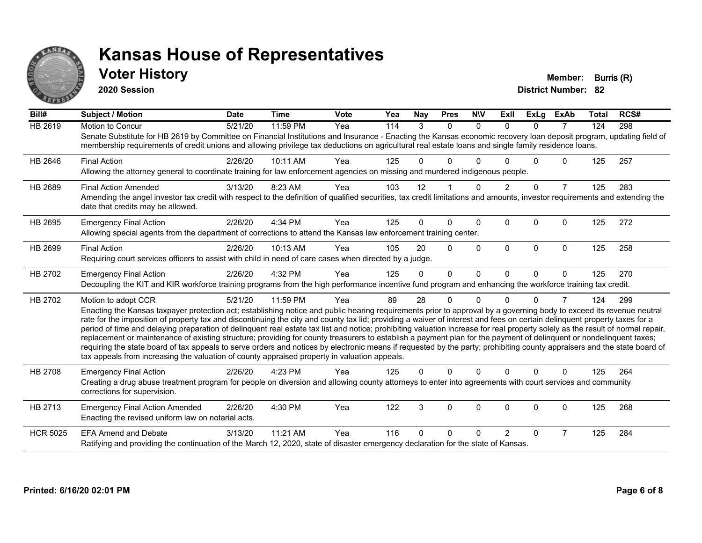

#### **Voter History Member: Burris (R)**

**2020 Session**

| Bill#           | <b>Subject / Motion</b>                                                                                                                                                                                                                                                                                                                                                                                                                                                                                                                                                                                                                                                                                                                                                                                                                                                                                                                                                                                       | <b>Date</b> | <b>Time</b> | <b>Vote</b> | Yea | Nay      | <b>Pres</b> | <b>NIV</b>   | ExII          | <b>ExLg</b>  | <b>ExAb</b>    | <b>Total</b> | RCS# |
|-----------------|---------------------------------------------------------------------------------------------------------------------------------------------------------------------------------------------------------------------------------------------------------------------------------------------------------------------------------------------------------------------------------------------------------------------------------------------------------------------------------------------------------------------------------------------------------------------------------------------------------------------------------------------------------------------------------------------------------------------------------------------------------------------------------------------------------------------------------------------------------------------------------------------------------------------------------------------------------------------------------------------------------------|-------------|-------------|-------------|-----|----------|-------------|--------------|---------------|--------------|----------------|--------------|------|
| <b>HB 2619</b>  | <b>Motion to Concur</b><br>Senate Substitute for HB 2619 by Committee on Financial Institutions and Insurance - Enacting the Kansas economic recovery loan deposit program, updating field of<br>membership requirements of credit unions and allowing privilege tax deductions on agricultural real estate loans and single family residence loans.                                                                                                                                                                                                                                                                                                                                                                                                                                                                                                                                                                                                                                                          | 5/21/20     | 11:59 PM    | Yea         | 114 | 3        | $\Omega$    | $\Omega$     | $\Omega$      | $\Omega$     | $\overline{7}$ | 124          | 298  |
| HB 2646         | <b>Final Action</b><br>Allowing the attorney general to coordinate training for law enforcement agencies on missing and murdered indigenous people.                                                                                                                                                                                                                                                                                                                                                                                                                                                                                                                                                                                                                                                                                                                                                                                                                                                           | 2/26/20     | 10:11 AM    | Yea         | 125 |          | U           |              |               | <sup>0</sup> | 0              | 125          | 257  |
| HB 2689         | <b>Final Action Amended</b><br>Amending the angel investor tax credit with respect to the definition of qualified securities, tax credit limitations and amounts, investor requirements and extending the<br>date that credits may be allowed.                                                                                                                                                                                                                                                                                                                                                                                                                                                                                                                                                                                                                                                                                                                                                                | 3/13/20     | 8:23 AM     | Yea         | 103 | 12       |             | $\Omega$     | $\mathcal{P}$ | $\Omega$     | $\overline{7}$ | 125          | 283  |
| HB 2695         | <b>Emergency Final Action</b><br>Allowing special agents from the department of corrections to attend the Kansas law enforcement training center.                                                                                                                                                                                                                                                                                                                                                                                                                                                                                                                                                                                                                                                                                                                                                                                                                                                             | 2/26/20     | 4:34 PM     | Yea         | 125 | 0        | U           | $\mathbf{0}$ | $\Omega$      | $\Omega$     | $\Omega$       | 125          | 272  |
| HB 2699         | <b>Final Action</b><br>Requiring court services officers to assist with child in need of care cases when directed by a judge.                                                                                                                                                                                                                                                                                                                                                                                                                                                                                                                                                                                                                                                                                                                                                                                                                                                                                 | 2/26/20     | 10:13 AM    | Yea         | 105 | 20       | $\Omega$    | $\Omega$     | $\Omega$      | $\Omega$     | $\Omega$       | 125          | 258  |
| HB 2702         | <b>Emergency Final Action</b><br>Decoupling the KIT and KIR workforce training programs from the high performance incentive fund program and enhancing the workforce training tax credit.                                                                                                                                                                                                                                                                                                                                                                                                                                                                                                                                                                                                                                                                                                                                                                                                                     | 2/26/20     | 4:32 PM     | Yea         | 125 | $\Omega$ | $\Omega$    | $\Omega$     | $\Omega$      | $\Omega$     | $\Omega$       | 125          | 270  |
| HB 2702         | Motion to adopt CCR<br>Enacting the Kansas taxpayer protection act; establishing notice and public hearing requirements prior to approval by a governing body to exceed its revenue neutral<br>rate for the imposition of property tax and discontinuing the city and county tax lid; providing a waiver of interest and fees on certain delinquent property taxes for a<br>period of time and delaying preparation of delinquent real estate tax list and notice; prohibiting valuation increase for real property solely as the result of normal repair,<br>replacement or maintenance of existing structure; providing for county treasurers to establish a payment plan for the payment of delinquent or nondelinquent taxes;<br>requiring the state board of tax appeals to serve orders and notices by electronic means if requested by the party; prohibiting county appraisers and the state board of<br>tax appeals from increasing the valuation of county appraised property in valuation appeals. | 5/21/20     | 11:59 PM    | Yea         | 89  | 28       | 0           | $\Omega$     |               | $\Omega$     | 7              | 124          | 299  |
| <b>HB 2708</b>  | <b>Emergency Final Action</b><br>Creating a drug abuse treatment program for people on diversion and allowing county attorneys to enter into agreements with court services and community<br>corrections for supervision.                                                                                                                                                                                                                                                                                                                                                                                                                                                                                                                                                                                                                                                                                                                                                                                     | 2/26/20     | 4:23 PM     | Yea         | 125 | 0        | $\Omega$    | $\Omega$     | $\Omega$      | $\Omega$     | $\mathbf{0}$   | 125          | 264  |
| HB 2713         | <b>Emergency Final Action Amended</b><br>Enacting the revised uniform law on notarial acts.                                                                                                                                                                                                                                                                                                                                                                                                                                                                                                                                                                                                                                                                                                                                                                                                                                                                                                                   | 2/26/20     | 4:30 PM     | Yea         | 122 | 3        | $\Omega$    | 0            | $\Omega$      | $\Omega$     | 0              | 125          | 268  |
| <b>HCR 5025</b> | <b>EFA Amend and Debate</b><br>Ratifying and providing the continuation of the March 12, 2020, state of disaster emergency declaration for the state of Kansas.                                                                                                                                                                                                                                                                                                                                                                                                                                                                                                                                                                                                                                                                                                                                                                                                                                               | 3/13/20     | 11:21 AM    | Yea         | 116 | U        | U           | 0            |               | 0            | 7              | 125          | 284  |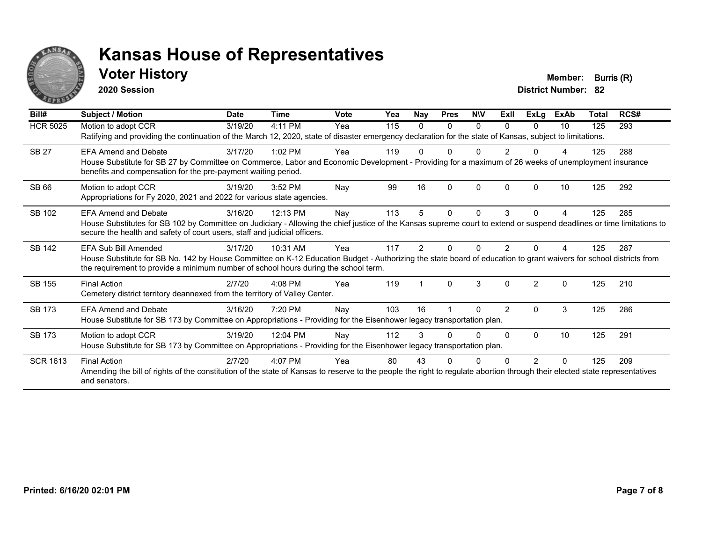

#### **Voter History Member: Burris (R)**

**2020 Session**

| Bill#           | Subject / Motion                                                                                                                                                                                                                                                                  | <b>Date</b> | <b>Time</b> | <b>Vote</b> | Yea | <b>Nay</b> | <b>Pres</b> | <b>NIV</b> | ExII           | <b>ExLg</b>   | <b>ExAb</b> | Total | RCS# |
|-----------------|-----------------------------------------------------------------------------------------------------------------------------------------------------------------------------------------------------------------------------------------------------------------------------------|-------------|-------------|-------------|-----|------------|-------------|------------|----------------|---------------|-------------|-------|------|
| <b>HCR 5025</b> | Motion to adopt CCR<br>Ratifying and providing the continuation of the March 12, 2020, state of disaster emergency declaration for the state of Kansas, subject to limitations.                                                                                                   | 3/19/20     | 4:11 PM     | Yea         | 115 | 0          | $\Omega$    | 0          | $\Omega$       | $\Omega$      | 10          | 125   | 293  |
| <b>SB 27</b>    | <b>EFA Amend and Debate</b><br>House Substitute for SB 27 by Committee on Commerce, Labor and Economic Development - Providing for a maximum of 26 weeks of unemployment insurance<br>benefits and compensation for the pre-payment waiting period.                               | 3/17/20     | $1:02$ PM   | Yea         | 119 |            | n           | U          |                |               |             | 125   | 288  |
| <b>SB 66</b>    | Motion to adopt CCR<br>Appropriations for Fy 2020, 2021 and 2022 for various state agencies.                                                                                                                                                                                      | 3/19/20     | 3:52 PM     | Nay         | 99  | 16         | $\Omega$    | $\Omega$   | 0              | <sup>0</sup>  | 10          | 125   | 292  |
| SB 102          | <b>EFA Amend and Debate</b><br>House Substitutes for SB 102 by Committee on Judiciary - Allowing the chief justice of the Kansas supreme court to extend or suspend deadlines or time limitations to<br>secure the health and safety of court users, staff and judicial officers. | 3/16/20     | 12:13 PM    | Nay         | 113 | 5          | 0           | $\Omega$   | 3              | $\Omega$      | 4           | 125   | 285  |
| <b>SB 142</b>   | EFA Sub Bill Amended<br>House Substitute for SB No. 142 by House Committee on K-12 Education Budget - Authorizing the state board of education to grant waivers for school districts from<br>the requirement to provide a minimum number of school hours during the school term.  | 3/17/20     | 10:31 AM    | Yea         | 117 | 2          |             | O          |                |               |             | 125   | 287  |
| SB 155          | <b>Final Action</b><br>Cemetery district territory deannexed from the territory of Valley Center.                                                                                                                                                                                 | 2/7/20      | $4:08$ PM   | Yea         | 119 |            | $\Omega$    | 3          | $\Omega$       | $\mathcal{P}$ | $\Omega$    | 125   | 210  |
| <b>SB 173</b>   | <b>EFA Amend and Debate</b><br>House Substitute for SB 173 by Committee on Appropriations - Providing for the Eisenhower legacy transportation plan.                                                                                                                              | 3/16/20     | 7:20 PM     | Nay         | 103 | 16         |             | 0          | $\overline{2}$ | 0             | 3           | 125   | 286  |
| <b>SB 173</b>   | Motion to adopt CCR<br>House Substitute for SB 173 by Committee on Appropriations - Providing for the Eisenhower legacy transportation plan.                                                                                                                                      | 3/19/20     | 12:04 PM    | Nav         | 112 | 3          |             | 0          | 0              | $\Omega$      | 10          | 125   | 291  |
| <b>SCR 1613</b> | <b>Final Action</b><br>Amending the bill of rights of the constitution of the state of Kansas to reserve to the people the right to regulate abortion through their elected state representatives<br>and senators.                                                                | 2/7/20      | 4:07 PM     | Yea         | 80  | 43         |             |            |                |               |             | 125   | 209  |